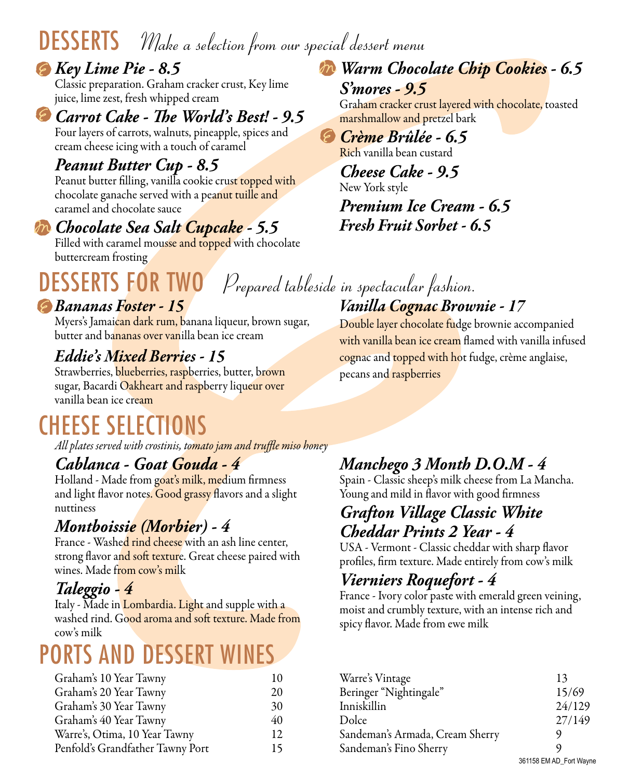# DESSERTS *Make a selection from our special dessert menu*

*Key Lime Pie - 8.5* Classic preparation. Graham cracker crust, Key lime juice, lime zest, fresh whipped cream

*Carrot Cake - The World's Best! - 9.5* Four layers of carrots, walnuts, pineapple, spices and cream cheese icing with a touch of caramel

### *Peanut Butter Cup - 8.5*

Peanut butter filling, vanilla cookie crust topped with chocolate ganache served with a peanut tuille and caramel and chocolate sauce

#### *Chocolate Sea Salt Cupcake - 5.5*

Filled with caramel mousse and topped with chocolate buttercream frosting

# DESSERTS FOR TWO *Prepared tableside in spectacular fashion.*

#### *Bananas Foster - 15*

Myers's Jamaican dark rum, banana liqueur, brown sugar, butter and bananas over vanilla bean ice cream

### *Eddie's Mixed Berries - 15*

Strawberries, blueberries, raspberries, butter, brown sugar, Bacardi Oakheart and raspberry liqueur over vanilla bean ice cream

# CHEESE SELECTIONS

*All plates served with crostinis, tomato jam and truffle miso honey*

### *Cablanca - Goat Gouda - 4*

Holland - Made from goat's milk, medium firmness and light flavor notes. Good grassy flavors and a slight nuttiness

### *Montboissie (Morbier) - 4*

France - Washed rind cheese with an ash line center, strong flavor and soft texture. Great cheese paired with wines. Made from cow's milk

### *Taleggio - 4*

Italy - Made in Lombardia. Light and supple with a washed rind. Good aroma and soft texture. Made from cow's milk

# PORTS AND DESSERT WINES

| Graham's 10 Year Tawny           | 10 |
|----------------------------------|----|
| Graham's 20 Year Tawny           | 20 |
| Graham's 30 Year Tawny           | 30 |
| Graham's 40 Year Tawny           | 40 |
| Warre's, Otima, 10 Year Tawny    | 12 |
| Penfold's Grandfather Tawny Port | 15 |

*Warm Chocolate Chip Cookies - 6.5 S'mores - 9.5*

Graham cracker crust layered with chocolate, toasted marshmallow and pretzel bark

 $(6)$ *Crème Brûlée - 6.5* Rich vanilla bean custard

> *Cheese Cake - 9.5* New York style *Premium Ice Cream - 6.5 Fresh Fruit Sorbet - 6.5*

# *Vanilla Cognac Brownie - 17*

Double layer chocolate fudge brownie accompanied with vanilla bean ice cream flamed with vanilla infused cognac and topped with hot fudge, crème anglaise, pecans and raspberries

### *Manchego 3 Month D.O.M - 4*

Spain - Classic sheep's milk cheese from La Mancha. Young and mild in flavor with good firmness

#### *Grafton Village Classic White Cheddar Prints 2 Year - 4*

USA - Vermont - Classic cheddar with sharp flavor profiles, firm texture. Made entirely from cow's milk

### *Vierniers Roquefort - 4*

France - Ivory color paste with emerald green veining, moist and crumbly texture, with an intense rich and spicy flavor. Made from ewe milk

| Warre's Vintage                 | 13                      |
|---------------------------------|-------------------------|
| Beringer "Nightingale"          | 15/69                   |
| Inniskillin                     | 24/129                  |
| Dolce                           | 27/149                  |
| Sandeman's Armada, Cream Sherry | ပ)                      |
| Sandeman's Fino Sherry          | Q)                      |
|                                 | 361158 EM AD_Fort Wayne |